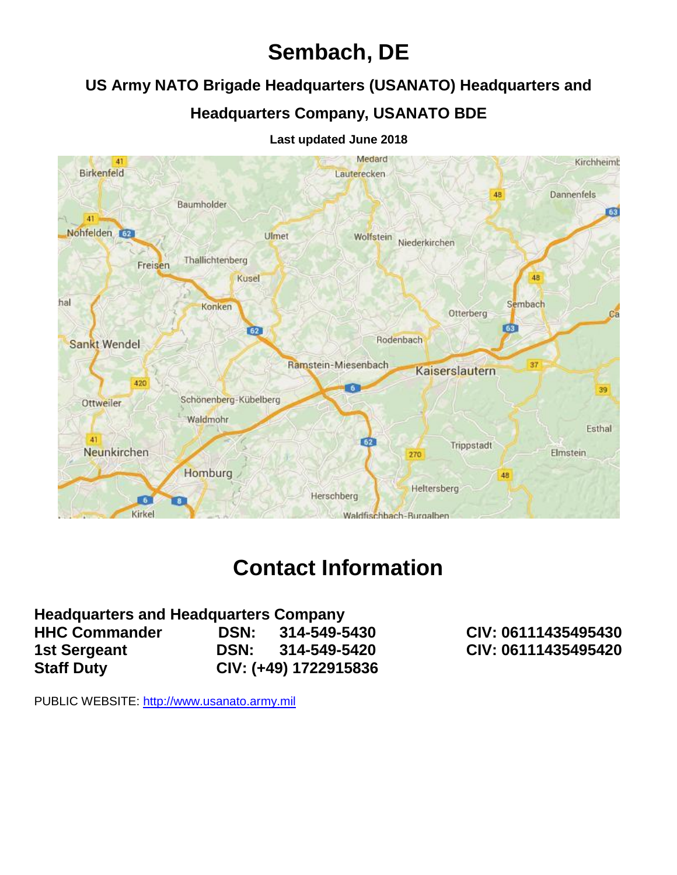# **Sembach, DE**

# **US Army NATO Brigade Headquarters (USANATO) Headquarters and**

# **Headquarters Company, USANATO BDE**

#### Medard  $41$ Kirchheimb **Birkenfeld** Lauterecken 48 Dannenfels Baumholder 63 41 Nohfelden 62 Wolfstein Niederkirchen Ulmet Thallichtenberg Freisen 48 Kusel hal Sembach Konken Otterberg  $C<sub>E</sub>$ 63  $62$ Rodenbach Sankt Wendel Ramstein-Miesenbach 37 Kaiserslautern 420 **G** 39 Schönenberg-Kübelberg Ottweiler Waldmohr Esthal 41  $62$ Trippstadt Neunkirchen **Elmstein** 270 Homburg 48 Heltersberg Herschberg  $\sqrt{6}$ Kirkel Waldfischbach-Burgalben

#### **Last updated June 2018**

# **Contact Information**

| <b>Headquarters and Headquarters Company</b> |             |                       |
|----------------------------------------------|-------------|-----------------------|
| <b>HHC Commander</b>                         |             | DSN: 314-549-5430     |
| 1st Sergeant                                 | <b>DSN:</b> | 314-549-5420          |
| <b>Staff Duty</b>                            |             | CIV: (+49) 1722915836 |

**HHC Commander DSN: 314-549-5430 CIV: 06111435495430 1st Sergeant DSN: 314-549-5420 CIV: 06111435495420**

PUBLIC WEBSITE: [http://www.usanato.army.mil](http://www.usanato.army.mil/)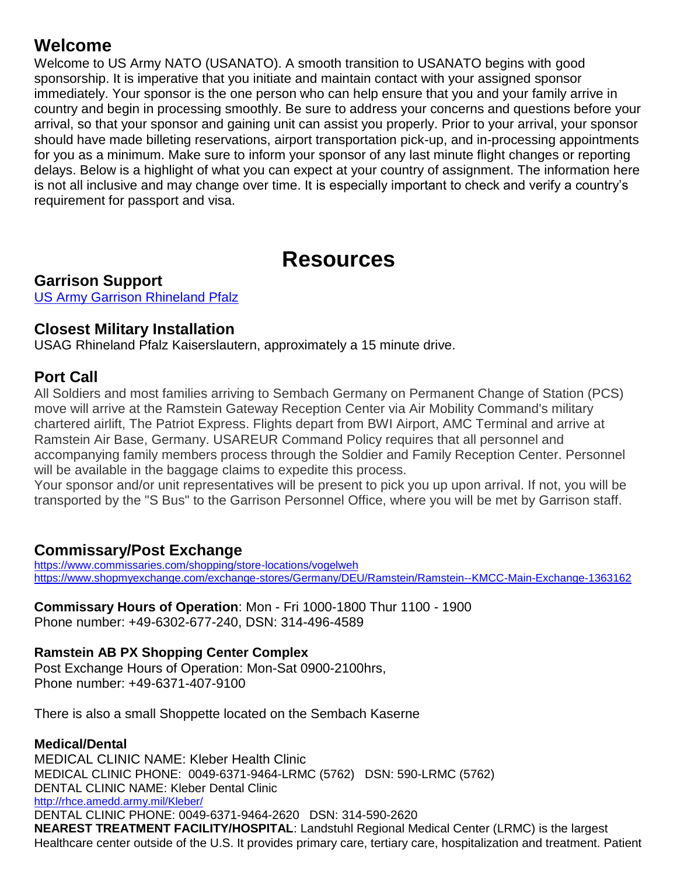# **Welcome**

Welcome to US Army NATO (USANATO). A smooth transition to USANATO begins with good sponsorship. It is imperative that you initiate and maintain contact with your assigned sponsor immediately. Your sponsor is the one person who can help ensure that you and your family arrive in country and begin in processing smoothly. Be sure to address your concerns and questions before your arrival, so that your sponsor and gaining unit can assist you properly. Prior to your arrival, your sponsor should have made billeting reservations, airport transportation pick-up, and in-processing appointments for you as a minimum. Make sure to inform your sponsor of any last minute flight changes or reporting delays. Below is a highlight of what you can expect at your country of assignment. The information here is not all inclusive and may change over time. It is especially important to check and verify a country's requirement for passport and visa.

# **Resources**

**Garrison Support** [US Army Garrison Rhineland Pfalz](http://www.rp.army.mil/)

### **Closest Military Installation**

USAG Rhineland Pfalz Kaiserslautern, approximately a 15 minute drive.

# **Port Call**

All Soldiers and most families arriving to Sembach Germany on Permanent Change of Station (PCS) move will arrive at the Ramstein Gateway Reception Center via Air Mobility Command's military chartered airlift, The Patriot Express. Flights depart from BWI Airport, AMC Terminal and arrive at Ramstein Air Base, Germany. USAREUR Command Policy requires that all personnel and accompanying family members process through the Soldier and Family Reception Center. Personnel will be available in the baggage claims to expedite this process.

Your sponsor and/or unit representatives will be present to pick you up upon arrival. If not, you will be transported by the "S Bus" to the Garrison Personnel Office, where you will be met by Garrison staff.

### **Commissary/Post Exchange**

<https://www.commissaries.com/shopping/store-locations/vogelweh> <https://www.shopmyexchange.com/exchange-stores/Germany/DEU/Ramstein/Ramstein--KMCC-Main-Exchange-1363162>

**Commissary Hours of Operation**: Mon - Fri 1000-1800 Thur 1100 - 1900 Phone number: +49-6302-677-240, DSN: 314-496-4589

#### **Ramstein AB PX Shopping Center Complex**

Post Exchange Hours of Operation: Mon-Sat 0900-2100hrs, Phone number: +49-6371-407-9100

There is also a small Shoppette located on the Sembach Kaserne

#### **Medical/Dental**

MEDICAL CLINIC NAME: Kleber Health Clinic MEDICAL CLINIC PHONE: 0049-6371-9464-LRMC (5762) DSN: 590-LRMC (5762) DENTAL CLINIC NAME: Kleber Dental Clinic <http://rhce.amedd.army.mil/Kleber/> DENTAL CLINIC PHONE: 0049-6371-9464-2620 DSN: 314-590-2620 **NEAREST TREATMENT FACILITY/HOSPITAL**: Landstuhl Regional Medical Center (LRMC) is the largest Healthcare center outside of the U.S. It provides primary care, tertiary care, hospitalization and treatment. Patient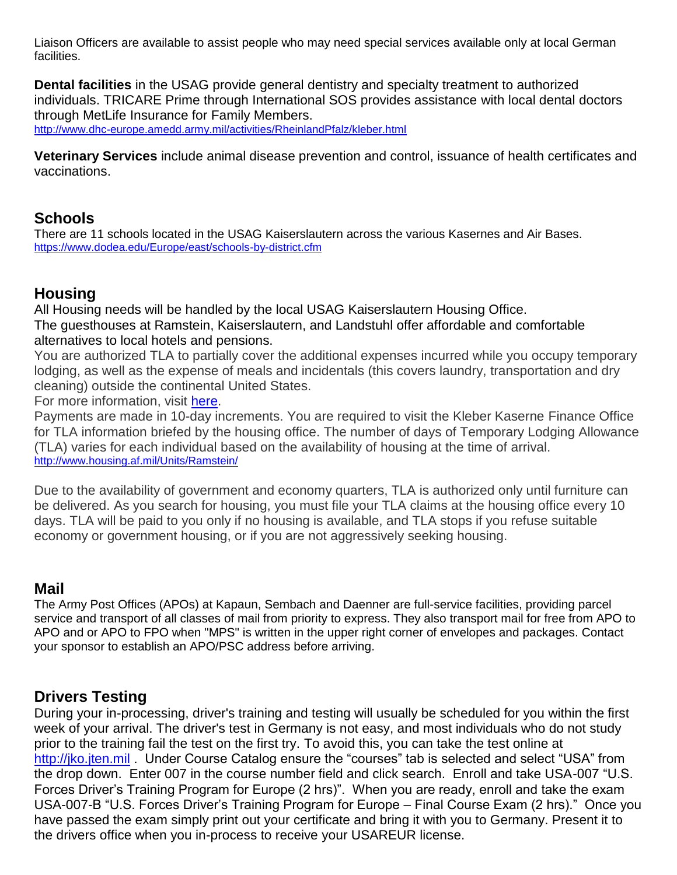Liaison Officers are available to assist people who may need special services available only at local German facilities.

**Dental facilities** in the USAG provide general dentistry and specialty treatment to authorized individuals. TRICARE Prime through International SOS provides assistance with local dental doctors through MetLife Insurance for Family Members. <http://www.dhc-europe.amedd.army.mil/activities/RheinlandPfalz/kleber.html>

**Veterinary Services** include animal disease prevention and control, issuance of health certificates and vaccinations.

# **Schools**

There are 11 schools located in the USAG Kaiserslautern across the various Kasernes and Air Bases. <https://www.dodea.edu/Europe/east/schools-by-district.cfm>

# **Housing**

All Housing needs will be handled by the local USAG Kaiserslautern Housing Office. The guesthouses at Ramstein, Kaiserslautern, and Landstuhl offer affordable and comfortable alternatives to local hotels and pensions.

You are authorized TLA to partially cover the additional expenses incurred while you occupy temporary lodging, as well as the expense of meals and incidentals (this covers laundry, transportation and dry cleaning) outside the continental United States.

For more information, visit [here.](http://www.defensetravel.dod.mil/site/faqtla.cfm)

Payments are made in 10-day increments. You are required to visit the Kleber Kaserne Finance Office for TLA information briefed by the housing office. The number of days of Temporary Lodging Allowance (TLA) varies for each individual based on the availability of housing at the time of arrival. <http://www.housing.af.mil/Units/Ramstein/>

Due to the availability of government and economy quarters, TLA is authorized only until furniture can be delivered. As you search for housing, you must file your TLA claims at the housing office every 10 days. TLA will be paid to you only if no housing is available, and TLA stops if you refuse suitable economy or government housing, or if you are not aggressively seeking housing.

### **Mail**

The Army Post Offices (APOs) at Kapaun, Sembach and Daenner are full-service facilities, providing parcel service and transport of all classes of mail from priority to express. They also transport mail for free from APO to APO and or APO to FPO when "MPS" is written in the upper right corner of envelopes and packages. Contact your sponsor to establish an APO/PSC address before arriving.

### **Drivers Testing**

During your in-processing, driver's training and testing will usually be scheduled for you within the first week of your arrival. The driver's test in Germany is not easy, and most individuals who do not study prior to the training fail the test on the first try. To avoid this, you can take the test online at [http://jko.jten.mil](http://jko.jten.mil/) . Under Course Catalog ensure the "courses" tab is selected and select "USA" from the drop down. Enter 007 in the course number field and click search. Enroll and take USA-007 "U.S. Forces Driver's Training Program for Europe (2 hrs)". When you are ready, enroll and take the exam USA-007-B "U.S. Forces Driver's Training Program for Europe – Final Course Exam (2 hrs)." Once you have passed the exam simply print out your certificate and bring it with you to Germany. Present it to the drivers office when you in-process to receive your USAREUR license.